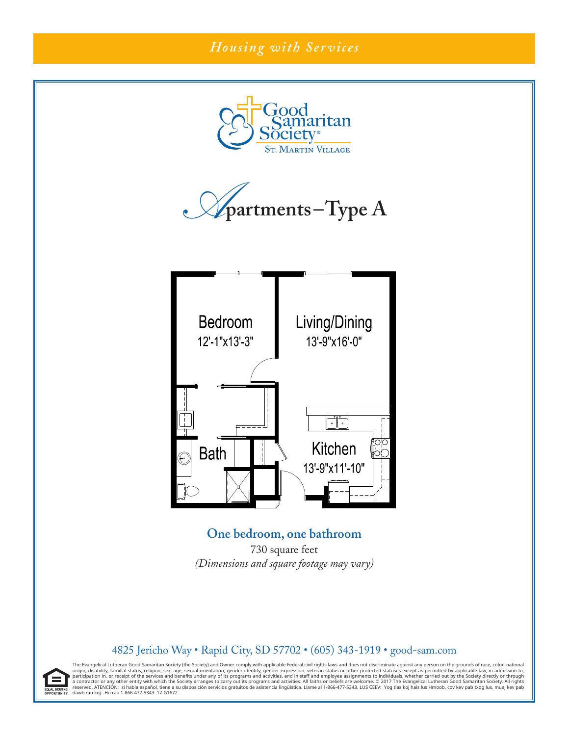# *Housing with Services*







**One bedroom, one bathroom** 730 square feet *(Dimensions and square footage may vary)*

#### 4825 Jericho Way • Rapid City, SD 57702 • (605) 343-1919 • good-sam.com

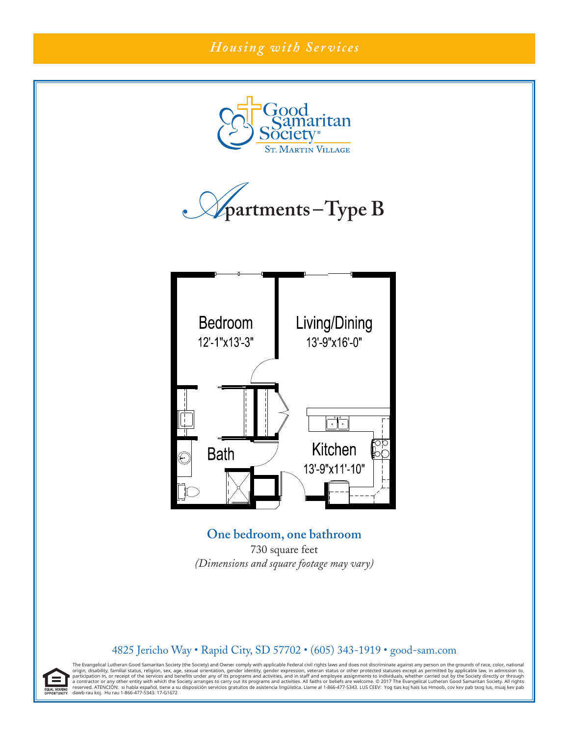# *Housing with Services*







**One bedroom, one bathroom** 730 square feet *(Dimensions and square footage may vary)*

#### 4825 Jericho Way • Rapid City, SD 57702 • (605) 343-1919 • good-sam.com

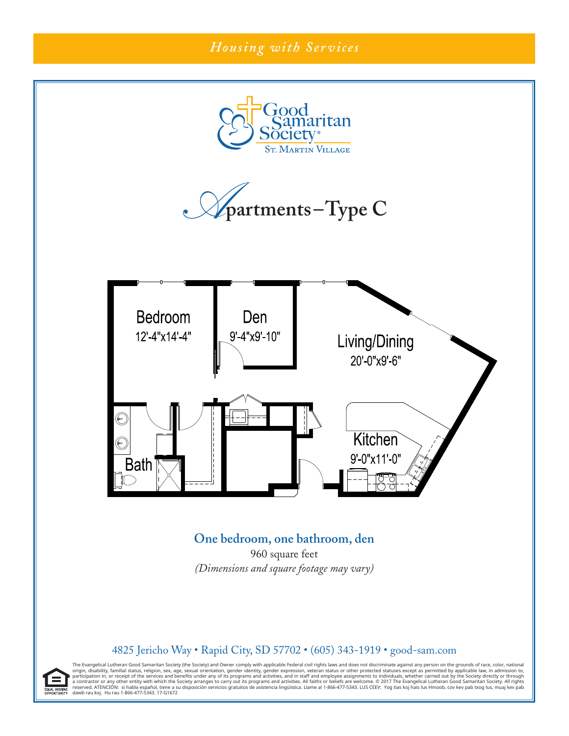

### **One bedroom, one bathroom, den**

960 square feet *(Dimensions and square footage may vary)*

#### 4825 Jericho Way • Rapid City, SD 57702 • (605) 343-1919 • good-sam.com

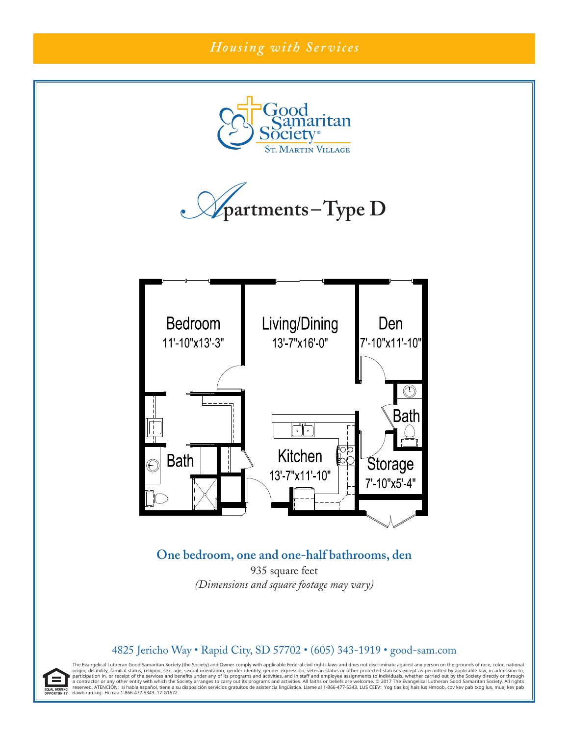

#### 4825 Jericho Way • Rapid City, SD 57702 • (605) 343-1919 • good-sam.com